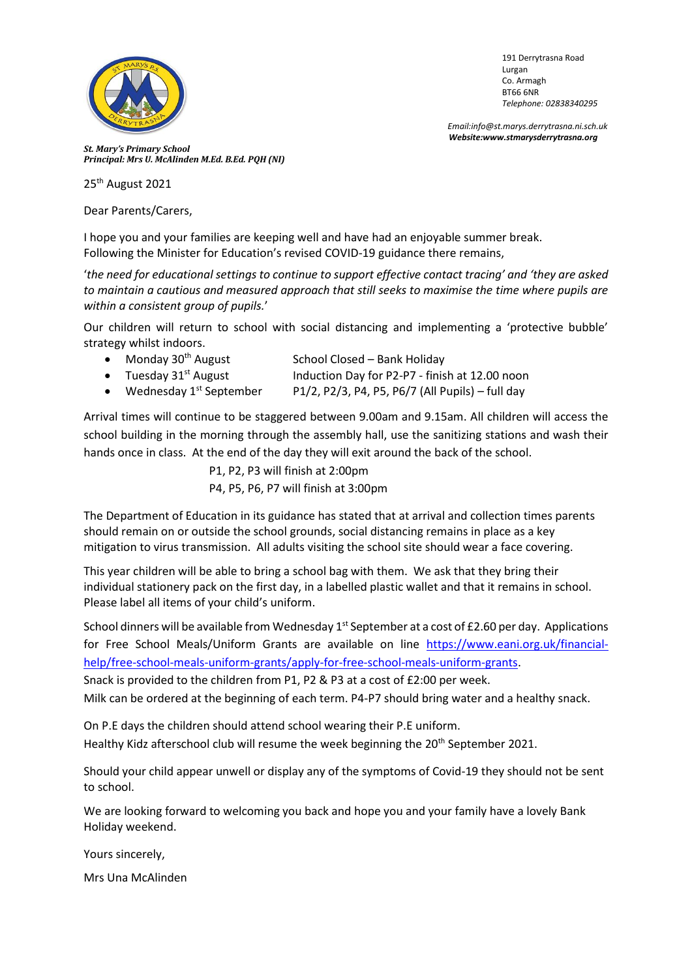

191 Derrytrasna Road Lurgan Co. Armagh BT66 6NR *Telephone: 02838340295*

 *Email:info@st.marys.derrytrasna.ni.sch.uk Website:www.stmarysderrytrasna.org*

*St. Mary's Primary School Principal: Mrs U. McAlinden M.Ed. B.Ed. PQH (NI)*

25<sup>th</sup> August 2021

Dear Parents/Carers,

I hope you and your families are keeping well and have had an enjoyable summer break. Following the Minister for Education's revised COVID-19 guidance there remains,

'*the need for educational settings to continue to support effective contact tracing' and 'they are asked to maintain a cautious and measured approach that still seeks to maximise the time where pupils are within a consistent group of pupils.*'

Our children will return to school with social distancing and implementing a 'protective bubble' strategy whilst indoors.

- Monday  $30<sup>th</sup>$  August School Closed Bank Holiday
- Tuesday 31<sup>st</sup> August Induction Day for P2-P7 finish at 12.00 noon
- Wednesday  $1^{st}$  September  $P1/2$ , P2/3, P4, P5, P6/7 (All Pupils) full day

Arrival times will continue to be staggered between 9.00am and 9.15am. All children will access the school building in the morning through the assembly hall, use the sanitizing stations and wash their hands once in class. At the end of the day they will exit around the back of the school.

> P1, P2, P3 will finish at 2:00pm P4, P5, P6, P7 will finish at 3:00pm

The Department of Education in its guidance has stated that at arrival and collection times parents should remain on or outside the school grounds, social distancing remains in place as a key mitigation to virus transmission. All adults visiting the school site should wear a face covering.

This year children will be able to bring a school bag with them. We ask that they bring their individual stationery pack on the first day, in a labelled plastic wallet and that it remains in school. Please label all items of your child's uniform.

School dinners will be available from Wednesday 1<sup>st</sup> September at a cost of £2.60 per day. Applications for Free School Meals/Uniform Grants are available on line [https://www.eani.org.uk/financial](https://www.eani.org.uk/financial-help/free-school-meals-uniform-grants/apply-for-free-school-meals-uniform-grants)[help/free-school-meals-uniform-grants/apply-for-free-school-meals-uniform-grants.](https://www.eani.org.uk/financial-help/free-school-meals-uniform-grants/apply-for-free-school-meals-uniform-grants)

Snack is provided to the children from P1, P2 & P3 at a cost of £2:00 per week.

Milk can be ordered at the beginning of each term. P4-P7 should bring water and a healthy snack.

On P.E days the children should attend school wearing their P.E uniform. Healthy Kidz afterschool club will resume the week beginning the  $20^{th}$  September 2021.

Should your child appear unwell or display any of the symptoms of Covid-19 they should not be sent to school.

We are looking forward to welcoming you back and hope you and your family have a lovely Bank Holiday weekend.

Yours sincerely,

Mrs Una McAlinden